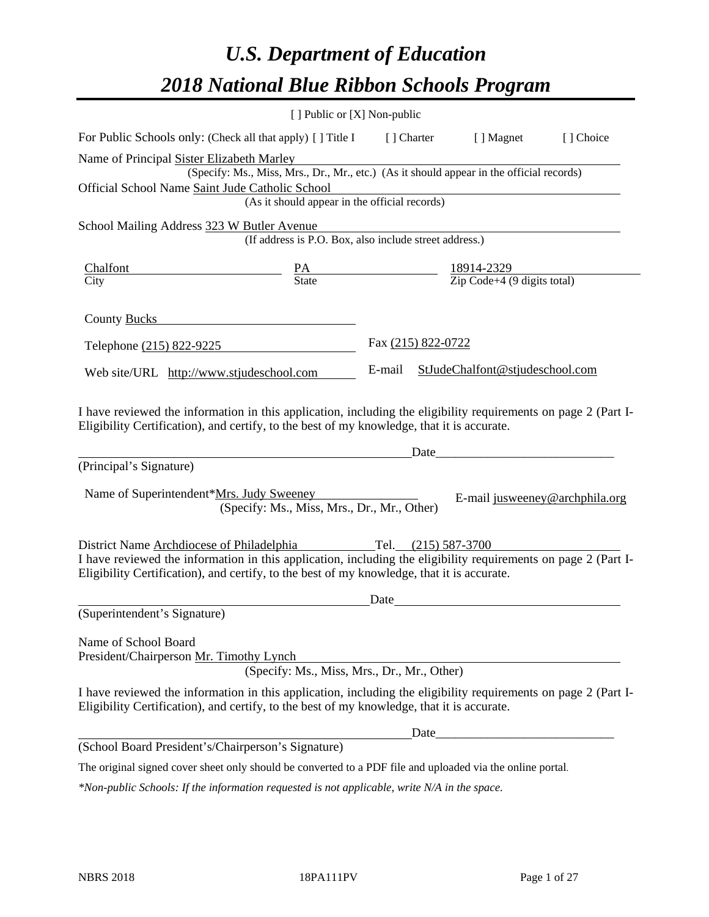# *U.S. Department of Education 2018 National Blue Ribbon Schools Program*

|                                                                                              | [ ] Public or [X] Non-public                                                                                                                                                                                                                                                                            |                               |                                        |           |
|----------------------------------------------------------------------------------------------|---------------------------------------------------------------------------------------------------------------------------------------------------------------------------------------------------------------------------------------------------------------------------------------------------------|-------------------------------|----------------------------------------|-----------|
|                                                                                              | For Public Schools only: (Check all that apply) [] Title I [] Charter [] Magnet                                                                                                                                                                                                                         |                               |                                        | [] Choice |
| Name of Principal Sister Elizabeth Marley<br>Official School Name Saint Jude Catholic School | (Specify: Ms., Miss, Mrs., Dr., Mr., etc.) (As it should appear in the official records)<br>(As it should appear in the official records)                                                                                                                                                               |                               |                                        |           |
| School Mailing Address 323 W Butler Avenue                                                   | (If address is P.O. Box, also include street address.)                                                                                                                                                                                                                                                  |                               |                                        |           |
| Chalfont<br>City                                                                             | $\frac{PA}{State}$ $\frac{18914-2329}{Zip Code+4 (9 digits total)}$                                                                                                                                                                                                                                     |                               |                                        |           |
| County Bucks                                                                                 |                                                                                                                                                                                                                                                                                                         |                               |                                        |           |
| Telephone (215) 822-9225                                                                     |                                                                                                                                                                                                                                                                                                         | Fax (215) 822-0722            |                                        |           |
| Web site/URL http://www.stjudeschool.com                                                     |                                                                                                                                                                                                                                                                                                         |                               | E-mail StJudeChalfont@stjudeschool.com |           |
| (Principal's Signature)                                                                      | I have reviewed the information in this application, including the eligibility requirements on page 2 (Part I-<br>Eligibility Certification), and certify, to the best of my knowledge, that it is accurate.<br>Name of Superintendent*Mrs. Judy Sweeney<br>(Specify: Ms., Miss, Mrs., Dr., Mr., Other) | Date                          | E-mail jusweeney@archphila.org         |           |
|                                                                                              | District Name Archdiocese of Philadelphia<br>I have reviewed the information in this application, including the eligibility requirements on page 2 (Part I-<br>Eligibility Certification), and certify, to the best of my knowledge, that it is accurate.                                               | Tel. $(215)$ 587-3700<br>Date |                                        |           |
| (Superintendent's Signature)                                                                 |                                                                                                                                                                                                                                                                                                         |                               |                                        |           |
| Name of School Board<br>President/Chairperson Mr. Timothy Lynch                              | (Specify: Ms., Miss, Mrs., Dr., Mr., Other)                                                                                                                                                                                                                                                             |                               |                                        |           |
|                                                                                              | I have reviewed the information in this application, including the eligibility requirements on page 2 (Part I-<br>Eligibility Certification), and certify, to the best of my knowledge, that it is accurate.                                                                                            |                               |                                        |           |
|                                                                                              |                                                                                                                                                                                                                                                                                                         | Date                          |                                        |           |
| (School Board President's/Chairperson's Signature)                                           |                                                                                                                                                                                                                                                                                                         |                               |                                        |           |
|                                                                                              | The original signed cover sheet only should be converted to a PDF file and uploaded via the online portal.                                                                                                                                                                                              |                               |                                        |           |

*\*Non-public Schools: If the information requested is not applicable, write N/A in the space.*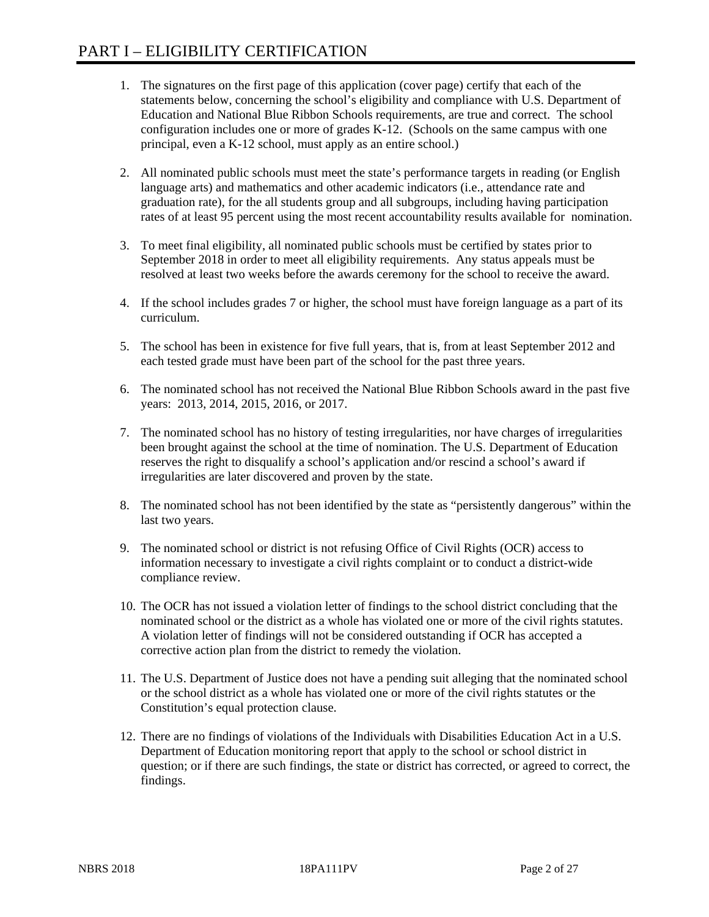- 1. The signatures on the first page of this application (cover page) certify that each of the statements below, concerning the school's eligibility and compliance with U.S. Department of Education and National Blue Ribbon Schools requirements, are true and correct. The school configuration includes one or more of grades K-12. (Schools on the same campus with one principal, even a K-12 school, must apply as an entire school.)
- 2. All nominated public schools must meet the state's performance targets in reading (or English language arts) and mathematics and other academic indicators (i.e., attendance rate and graduation rate), for the all students group and all subgroups, including having participation rates of at least 95 percent using the most recent accountability results available for nomination.
- 3. To meet final eligibility, all nominated public schools must be certified by states prior to September 2018 in order to meet all eligibility requirements. Any status appeals must be resolved at least two weeks before the awards ceremony for the school to receive the award.
- 4. If the school includes grades 7 or higher, the school must have foreign language as a part of its curriculum.
- 5. The school has been in existence for five full years, that is, from at least September 2012 and each tested grade must have been part of the school for the past three years.
- 6. The nominated school has not received the National Blue Ribbon Schools award in the past five years: 2013, 2014, 2015, 2016, or 2017.
- 7. The nominated school has no history of testing irregularities, nor have charges of irregularities been brought against the school at the time of nomination. The U.S. Department of Education reserves the right to disqualify a school's application and/or rescind a school's award if irregularities are later discovered and proven by the state.
- 8. The nominated school has not been identified by the state as "persistently dangerous" within the last two years.
- 9. The nominated school or district is not refusing Office of Civil Rights (OCR) access to information necessary to investigate a civil rights complaint or to conduct a district-wide compliance review.
- 10. The OCR has not issued a violation letter of findings to the school district concluding that the nominated school or the district as a whole has violated one or more of the civil rights statutes. A violation letter of findings will not be considered outstanding if OCR has accepted a corrective action plan from the district to remedy the violation.
- 11. The U.S. Department of Justice does not have a pending suit alleging that the nominated school or the school district as a whole has violated one or more of the civil rights statutes or the Constitution's equal protection clause.
- 12. There are no findings of violations of the Individuals with Disabilities Education Act in a U.S. Department of Education monitoring report that apply to the school or school district in question; or if there are such findings, the state or district has corrected, or agreed to correct, the findings.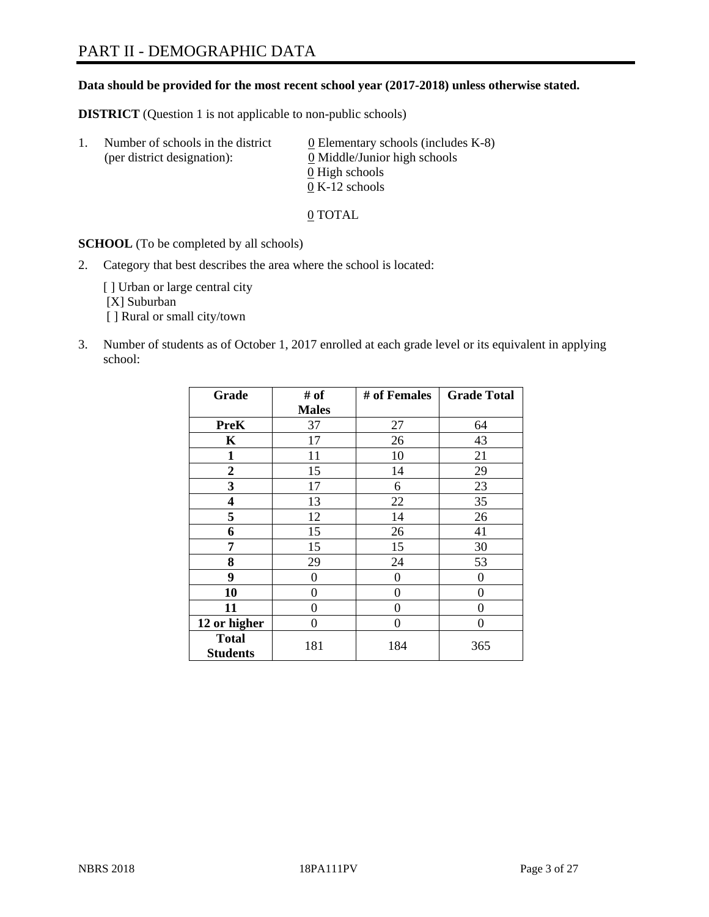# PART II - DEMOGRAPHIC DATA

### **Data should be provided for the most recent school year (2017-2018) unless otherwise stated.**

**DISTRICT** (Question 1 is not applicable to non-public schools)

| Τ. | Number of schools in the district<br>(per district designation): | 0 Elementary schools (includes K-8)<br>0 Middle/Junior high schools |
|----|------------------------------------------------------------------|---------------------------------------------------------------------|
|    |                                                                  | 0 High schools                                                      |
|    |                                                                  | $0 K-12$ schools                                                    |

0 TOTAL

**SCHOOL** (To be completed by all schools)

2. Category that best describes the area where the school is located:

[] Urban or large central city [X] Suburban [] Rural or small city/town

3. Number of students as of October 1, 2017 enrolled at each grade level or its equivalent in applying school:

| Grade                           | # of         | # of Females | <b>Grade Total</b> |
|---------------------------------|--------------|--------------|--------------------|
|                                 | <b>Males</b> |              |                    |
| <b>PreK</b>                     | 37           | 27           | 64                 |
| $\mathbf K$                     | 17           | 26           | 43                 |
| $\mathbf{1}$                    | 11           | 10           | 21                 |
| 2                               | 15           | 14           | 29                 |
| 3                               | 17           | 6            | 23                 |
| 4                               | 13           | 22           | 35                 |
| 5                               | 12           | 14           | 26                 |
| 6                               | 15           | 26           | 41                 |
| 7                               | 15           | 15           | 30                 |
| 8                               | 29           | 24           | 53                 |
| 9                               | 0            | $\theta$     | 0                  |
| 10                              | 0            | $\theta$     | 0                  |
| 11                              | 0            | $\theta$     | 0                  |
| 12 or higher                    | 0            | $\Omega$     | 0                  |
| <b>Total</b><br><b>Students</b> | 181          | 184          | 365                |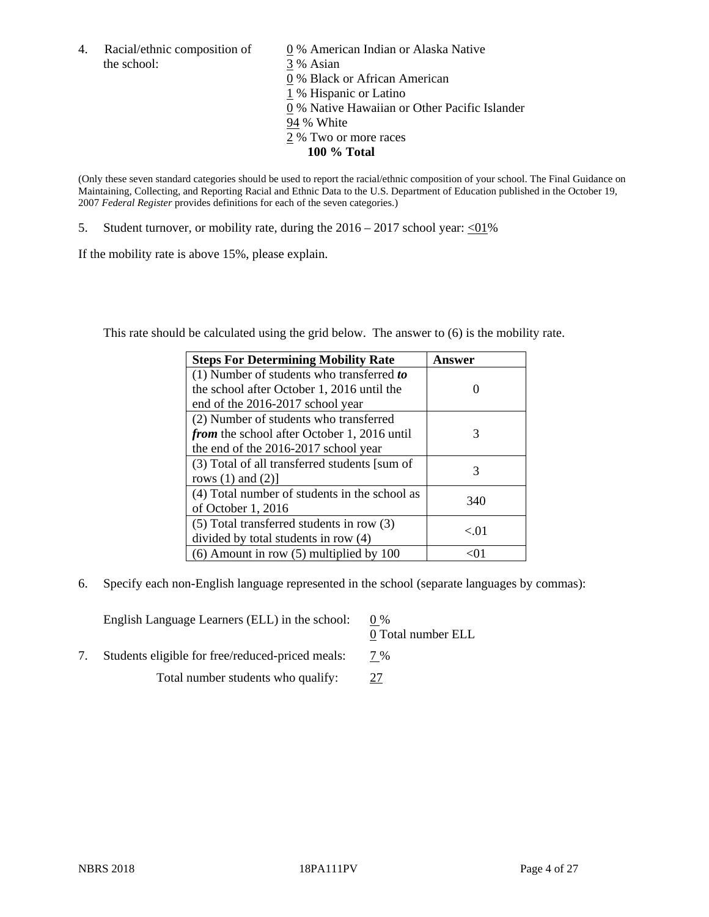4. Racial/ethnic composition of  $\qquad 0\%$  American Indian or Alaska Native the school: 3 % Asian

 % Black or African American % Hispanic or Latino % Native Hawaiian or Other Pacific Islander 94 % White % Two or more races **100 % Total**

(Only these seven standard categories should be used to report the racial/ethnic composition of your school. The Final Guidance on Maintaining, Collecting, and Reporting Racial and Ethnic Data to the U.S. Department of Education published in the October 19, 2007 *Federal Register* provides definitions for each of the seven categories.)

5. Student turnover, or mobility rate, during the  $2016 - 2017$  school year: <01%

If the mobility rate is above 15%, please explain.

This rate should be calculated using the grid below. The answer to (6) is the mobility rate.

| <b>Steps For Determining Mobility Rate</b>         | <b>Answer</b> |
|----------------------------------------------------|---------------|
| (1) Number of students who transferred to          |               |
| the school after October 1, 2016 until the         |               |
| end of the 2016-2017 school year                   |               |
| (2) Number of students who transferred             |               |
| <i>from</i> the school after October 1, 2016 until | 3             |
| the end of the 2016-2017 school year               |               |
| (3) Total of all transferred students [sum of      | 3             |
| rows $(1)$ and $(2)$ ]                             |               |
| (4) Total number of students in the school as      |               |
| of October 1, 2016                                 | 340           |
| $(5)$ Total transferred students in row $(3)$      | < 01          |
| divided by total students in row (4)               |               |
| $(6)$ Amount in row $(5)$ multiplied by 100        |               |

6. Specify each non-English language represented in the school (separate languages by commas):

| English Language Learners (ELL) in the school:   | $0\%$<br>0 Total number ELL |
|--------------------------------------------------|-----------------------------|
| Students eligible for free/reduced-priced meals: | 7 %                         |
| Total number students who qualify:               |                             |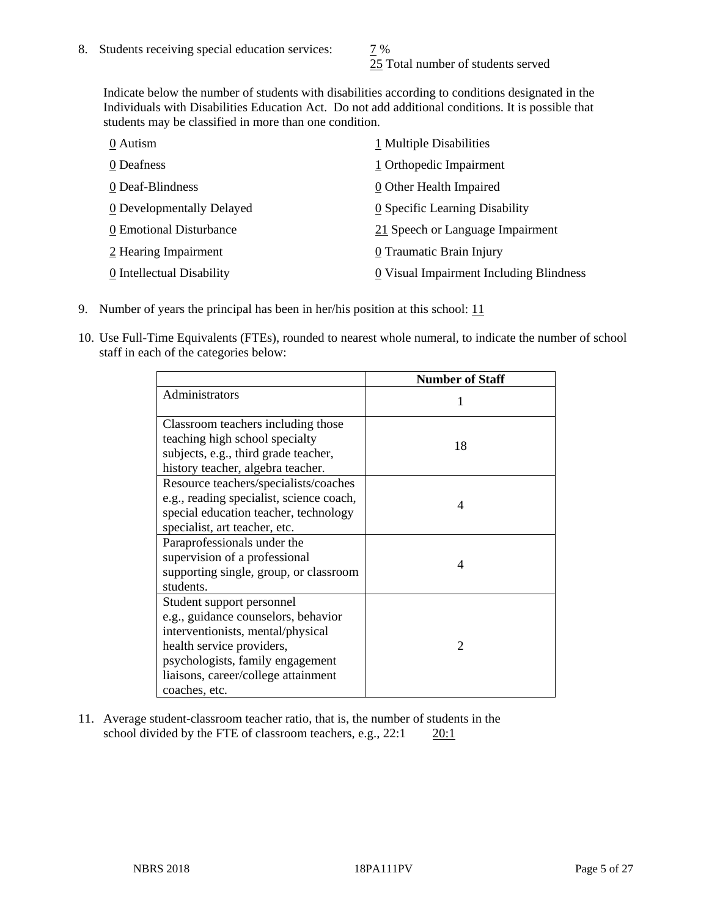25 Total number of students served

Indicate below the number of students with disabilities according to conditions designated in the Individuals with Disabilities Education Act. Do not add additional conditions. It is possible that students may be classified in more than one condition.

| 0 Autism                  | 1 Multiple Disabilities                 |
|---------------------------|-----------------------------------------|
| 0 Deafness                | 1 Orthopedic Impairment                 |
| 0 Deaf-Blindness          | $\underline{0}$ Other Health Impaired   |
| 0 Developmentally Delayed | 0 Specific Learning Disability          |
| 0 Emotional Disturbance   | 21 Speech or Language Impairment        |
| 2 Hearing Impairment      | 0 Traumatic Brain Injury                |
| 0 Intellectual Disability | 0 Visual Impairment Including Blindness |

- 9. Number of years the principal has been in her/his position at this school:  $11$
- 10. Use Full-Time Equivalents (FTEs), rounded to nearest whole numeral, to indicate the number of school staff in each of the categories below:

|                                                                                                                                                                                                                                | <b>Number of Staff</b>      |
|--------------------------------------------------------------------------------------------------------------------------------------------------------------------------------------------------------------------------------|-----------------------------|
| Administrators                                                                                                                                                                                                                 |                             |
| Classroom teachers including those<br>teaching high school specialty<br>subjects, e.g., third grade teacher,<br>history teacher, algebra teacher.                                                                              | 18                          |
| Resource teachers/specialists/coaches<br>e.g., reading specialist, science coach,<br>special education teacher, technology<br>specialist, art teacher, etc.                                                                    | 4                           |
| Paraprofessionals under the<br>supervision of a professional<br>supporting single, group, or classroom<br>students.                                                                                                            | 4                           |
| Student support personnel<br>e.g., guidance counselors, behavior<br>interventionists, mental/physical<br>health service providers,<br>psychologists, family engagement<br>liaisons, career/college attainment<br>coaches, etc. | $\mathcal{D}_{\mathcal{A}}$ |

11. Average student-classroom teacher ratio, that is, the number of students in the school divided by the FTE of classroom teachers, e.g.,  $22:1$  20:1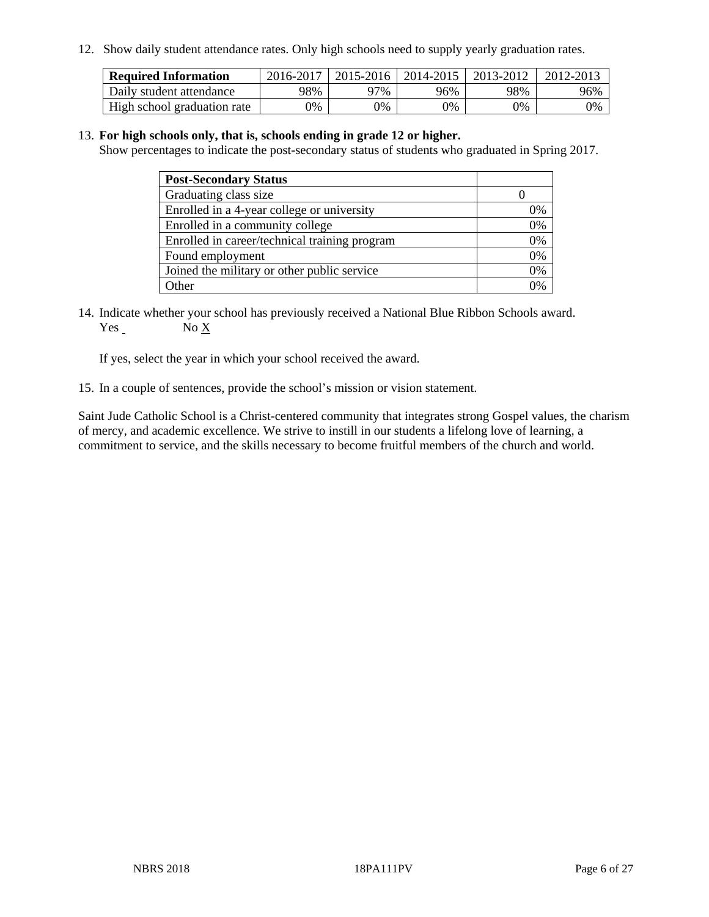12. Show daily student attendance rates. Only high schools need to supply yearly graduation rates.

| <b>Required Information</b> | 2016-2017 | 2015-2016 | 2014-2015 | 2013-2012 | 2012-2013 |
|-----------------------------|-----------|-----------|-----------|-----------|-----------|
| Daily student attendance    | 98%       | 97%       | 96%       | 98%       | 96%       |
| High school graduation rate | 0%        | 0%        | 0%        | 0%        | 9%        |

#### 13. **For high schools only, that is, schools ending in grade 12 or higher.**

Show percentages to indicate the post-secondary status of students who graduated in Spring 2017.

| <b>Post-Secondary Status</b>                  |    |
|-----------------------------------------------|----|
| Graduating class size                         |    |
| Enrolled in a 4-year college or university    | 7% |
| Enrolled in a community college               | 0% |
| Enrolled in career/technical training program | 0% |
| Found employment                              | 0% |
| Joined the military or other public service   | 0% |
| Other                                         |    |

14. Indicate whether your school has previously received a National Blue Ribbon Schools award. Yes No X

If yes, select the year in which your school received the award.

15. In a couple of sentences, provide the school's mission or vision statement.

Saint Jude Catholic School is a Christ-centered community that integrates strong Gospel values, the charism of mercy, and academic excellence. We strive to instill in our students a lifelong love of learning, a commitment to service, and the skills necessary to become fruitful members of the church and world.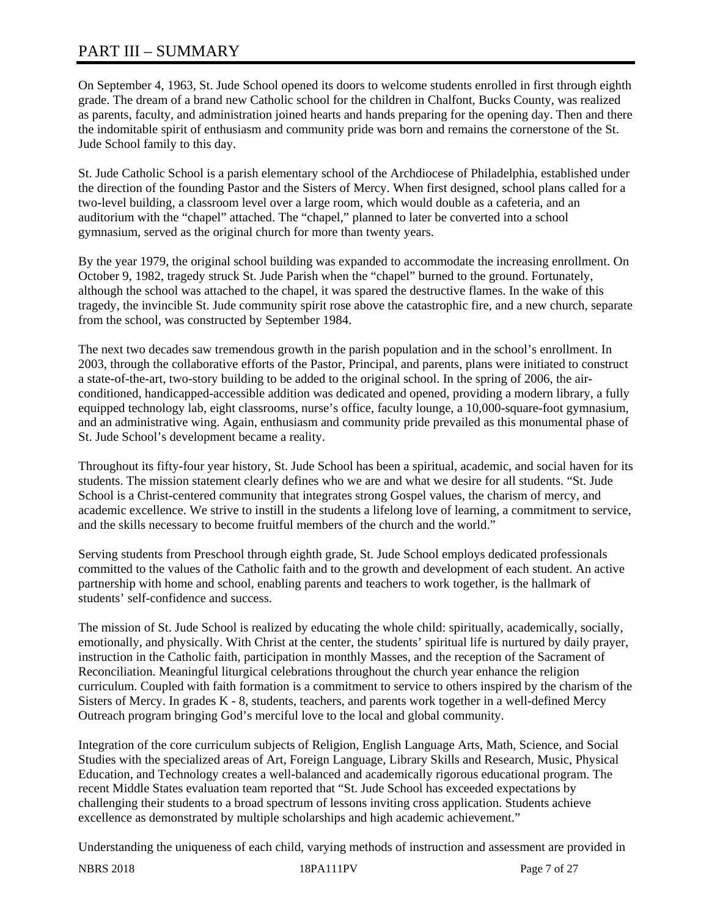# PART III – SUMMARY

On September 4, 1963, St. Jude School opened its doors to welcome students enrolled in first through eighth grade. The dream of a brand new Catholic school for the children in Chalfont, Bucks County, was realized as parents, faculty, and administration joined hearts and hands preparing for the opening day. Then and there the indomitable spirit of enthusiasm and community pride was born and remains the cornerstone of the St. Jude School family to this day.

St. Jude Catholic School is a parish elementary school of the Archdiocese of Philadelphia, established under the direction of the founding Pastor and the Sisters of Mercy. When first designed, school plans called for a two-level building, a classroom level over a large room, which would double as a cafeteria, and an auditorium with the "chapel" attached. The "chapel," planned to later be converted into a school gymnasium, served as the original church for more than twenty years.

By the year 1979, the original school building was expanded to accommodate the increasing enrollment. On October 9, 1982, tragedy struck St. Jude Parish when the "chapel" burned to the ground. Fortunately, although the school was attached to the chapel, it was spared the destructive flames. In the wake of this tragedy, the invincible St. Jude community spirit rose above the catastrophic fire, and a new church, separate from the school, was constructed by September 1984.

The next two decades saw tremendous growth in the parish population and in the school's enrollment. In 2003, through the collaborative efforts of the Pastor, Principal, and parents, plans were initiated to construct a state-of-the-art, two-story building to be added to the original school. In the spring of 2006, the airconditioned, handicapped-accessible addition was dedicated and opened, providing a modern library, a fully equipped technology lab, eight classrooms, nurse's office, faculty lounge, a 10,000-square-foot gymnasium, and an administrative wing. Again, enthusiasm and community pride prevailed as this monumental phase of St. Jude School's development became a reality.

Throughout its fifty-four year history, St. Jude School has been a spiritual, academic, and social haven for its students. The mission statement clearly defines who we are and what we desire for all students. "St. Jude School is a Christ-centered community that integrates strong Gospel values, the charism of mercy, and academic excellence. We strive to instill in the students a lifelong love of learning, a commitment to service, and the skills necessary to become fruitful members of the church and the world."

Serving students from Preschool through eighth grade, St. Jude School employs dedicated professionals committed to the values of the Catholic faith and to the growth and development of each student. An active partnership with home and school, enabling parents and teachers to work together, is the hallmark of students' self-confidence and success.

The mission of St. Jude School is realized by educating the whole child: spiritually, academically, socially, emotionally, and physically. With Christ at the center, the students' spiritual life is nurtured by daily prayer, instruction in the Catholic faith, participation in monthly Masses, and the reception of the Sacrament of Reconciliation. Meaningful liturgical celebrations throughout the church year enhance the religion curriculum. Coupled with faith formation is a commitment to service to others inspired by the charism of the Sisters of Mercy. In grades K - 8, students, teachers, and parents work together in a well-defined Mercy Outreach program bringing God's merciful love to the local and global community.

Integration of the core curriculum subjects of Religion, English Language Arts, Math, Science, and Social Studies with the specialized areas of Art, Foreign Language, Library Skills and Research, Music, Physical Education, and Technology creates a well-balanced and academically rigorous educational program. The recent Middle States evaluation team reported that "St. Jude School has exceeded expectations by challenging their students to a broad spectrum of lessons inviting cross application. Students achieve excellence as demonstrated by multiple scholarships and high academic achievement."

Understanding the uniqueness of each child, varying methods of instruction and assessment are provided in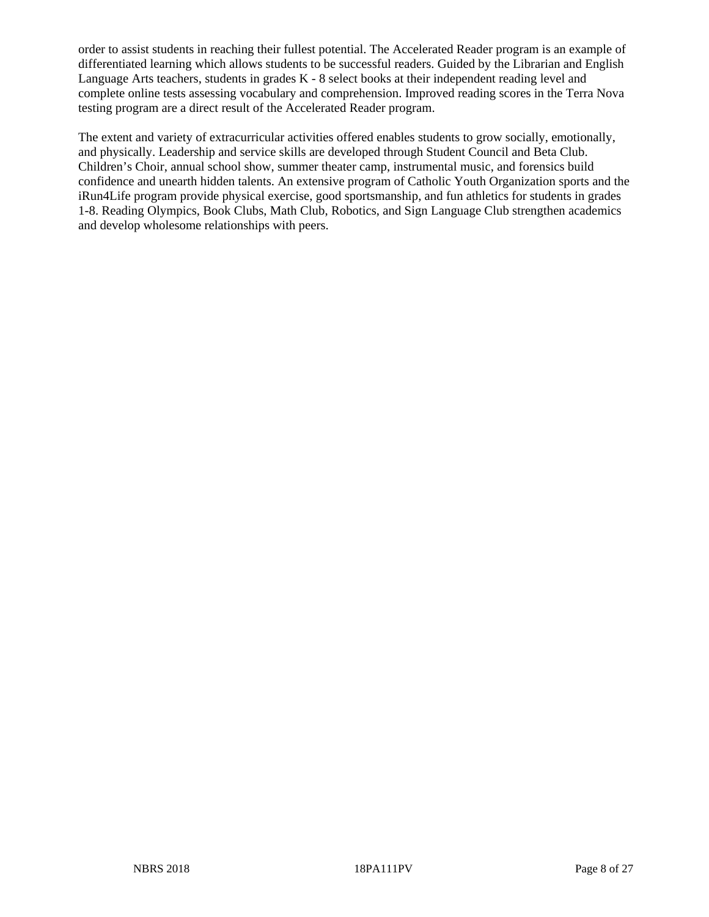order to assist students in reaching their fullest potential. The Accelerated Reader program is an example of differentiated learning which allows students to be successful readers. Guided by the Librarian and English Language Arts teachers, students in grades K - 8 select books at their independent reading level and complete online tests assessing vocabulary and comprehension. Improved reading scores in the Terra Nova testing program are a direct result of the Accelerated Reader program.

The extent and variety of extracurricular activities offered enables students to grow socially, emotionally, and physically. Leadership and service skills are developed through Student Council and Beta Club. Children's Choir, annual school show, summer theater camp, instrumental music, and forensics build confidence and unearth hidden talents. An extensive program of Catholic Youth Organization sports and the iRun4Life program provide physical exercise, good sportsmanship, and fun athletics for students in grades 1-8. Reading Olympics, Book Clubs, Math Club, Robotics, and Sign Language Club strengthen academics and develop wholesome relationships with peers.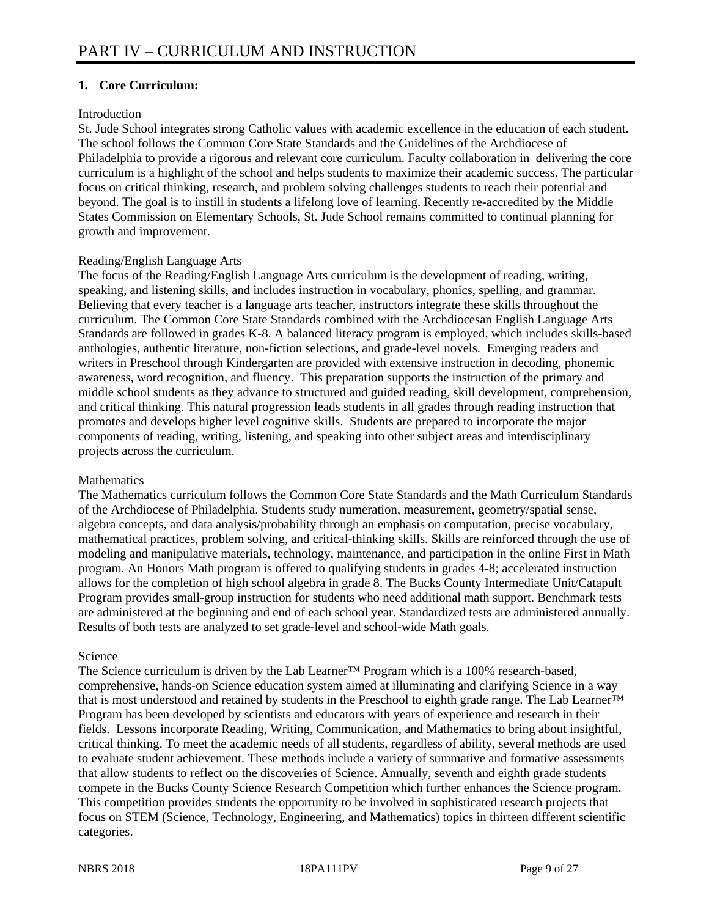#### **1. Core Curriculum:**

#### Introduction

St. Jude School integrates strong Catholic values with academic excellence in the education of each student. The school follows the Common Core State Standards and the Guidelines of the Archdiocese of Philadelphia to provide a rigorous and relevant core curriculum. Faculty collaboration in delivering the core curriculum is a highlight of the school and helps students to maximize their academic success. The particular focus on critical thinking, research, and problem solving challenges students to reach their potential and beyond. The goal is to instill in students a lifelong love of learning. Recently re-accredited by the Middle States Commission on Elementary Schools, St. Jude School remains committed to continual planning for growth and improvement.

#### Reading/English Language Arts

The focus of the Reading/English Language Arts curriculum is the development of reading, writing, speaking, and listening skills, and includes instruction in vocabulary, phonics, spelling, and grammar. Believing that every teacher is a language arts teacher, instructors integrate these skills throughout the curriculum. The Common Core State Standards combined with the Archdiocesan English Language Arts Standards are followed in grades K-8. A balanced literacy program is employed, which includes skills-based anthologies, authentic literature, non-fiction selections, and grade-level novels. Emerging readers and writers in Preschool through Kindergarten are provided with extensive instruction in decoding, phonemic awareness, word recognition, and fluency. This preparation supports the instruction of the primary and middle school students as they advance to structured and guided reading, skill development, comprehension, and critical thinking. This natural progression leads students in all grades through reading instruction that promotes and develops higher level cognitive skills. Students are prepared to incorporate the major components of reading, writing, listening, and speaking into other subject areas and interdisciplinary projects across the curriculum.

#### **Mathematics**

The Mathematics curriculum follows the Common Core State Standards and the Math Curriculum Standards of the Archdiocese of Philadelphia. Students study numeration, measurement, geometry/spatial sense, algebra concepts, and data analysis/probability through an emphasis on computation, precise vocabulary, mathematical practices, problem solving, and critical-thinking skills. Skills are reinforced through the use of modeling and manipulative materials, technology, maintenance, and participation in the online First in Math program. An Honors Math program is offered to qualifying students in grades 4-8; accelerated instruction allows for the completion of high school algebra in grade 8. The Bucks County Intermediate Unit/Catapult Program provides small-group instruction for students who need additional math support. Benchmark tests are administered at the beginning and end of each school year. Standardized tests are administered annually. Results of both tests are analyzed to set grade-level and school-wide Math goals.

#### Science

The Science curriculum is driven by the Lab Learner™ Program which is a 100% research-based, comprehensive, hands-on Science education system aimed at illuminating and clarifying Science in a way that is most understood and retained by students in the Preschool to eighth grade range. The Lab Learner™ Program has been developed by scientists and educators with years of experience and research in their fields. Lessons incorporate Reading, Writing, Communication, and Mathematics to bring about insightful, critical thinking. To meet the academic needs of all students, regardless of ability, several methods are used to evaluate student achievement. These methods include a variety of summative and formative assessments that allow students to reflect on the discoveries of Science. Annually, seventh and eighth grade students compete in the Bucks County Science Research Competition which further enhances the Science program. This competition provides students the opportunity to be involved in sophisticated research projects that focus on STEM (Science, Technology, Engineering, and Mathematics) topics in thirteen different scientific categories.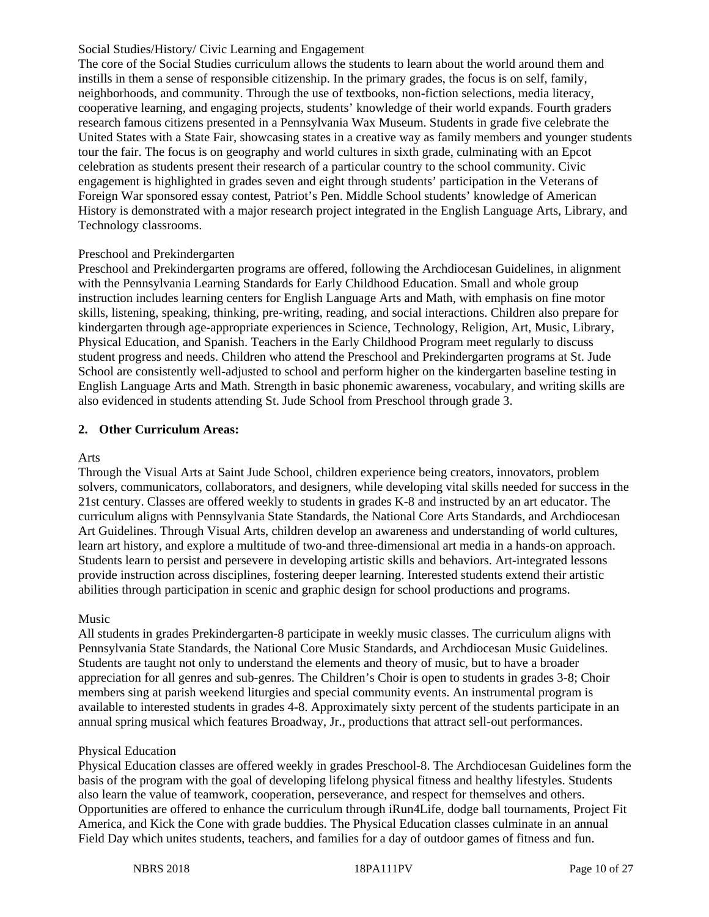#### Social Studies/History/ Civic Learning and Engagement

The core of the Social Studies curriculum allows the students to learn about the world around them and instills in them a sense of responsible citizenship. In the primary grades, the focus is on self, family, neighborhoods, and community. Through the use of textbooks, non-fiction selections, media literacy, cooperative learning, and engaging projects, students' knowledge of their world expands. Fourth graders research famous citizens presented in a Pennsylvania Wax Museum. Students in grade five celebrate the United States with a State Fair, showcasing states in a creative way as family members and younger students tour the fair. The focus is on geography and world cultures in sixth grade, culminating with an Epcot celebration as students present their research of a particular country to the school community. Civic engagement is highlighted in grades seven and eight through students' participation in the Veterans of Foreign War sponsored essay contest, Patriot's Pen. Middle School students' knowledge of American History is demonstrated with a major research project integrated in the English Language Arts, Library, and Technology classrooms.

#### Preschool and Prekindergarten

Preschool and Prekindergarten programs are offered, following the Archdiocesan Guidelines, in alignment with the Pennsylvania Learning Standards for Early Childhood Education. Small and whole group instruction includes learning centers for English Language Arts and Math, with emphasis on fine motor skills, listening, speaking, thinking, pre-writing, reading, and social interactions. Children also prepare for kindergarten through age-appropriate experiences in Science, Technology, Religion, Art, Music, Library, Physical Education, and Spanish. Teachers in the Early Childhood Program meet regularly to discuss student progress and needs. Children who attend the Preschool and Prekindergarten programs at St. Jude School are consistently well-adjusted to school and perform higher on the kindergarten baseline testing in English Language Arts and Math. Strength in basic phonemic awareness, vocabulary, and writing skills are also evidenced in students attending St. Jude School from Preschool through grade 3.

#### **2. Other Curriculum Areas:**

#### Arts

Through the Visual Arts at Saint Jude School, children experience being creators, innovators, problem solvers, communicators, collaborators, and designers, while developing vital skills needed for success in the 21st century. Classes are offered weekly to students in grades K-8 and instructed by an art educator. The curriculum aligns with Pennsylvania State Standards, the National Core Arts Standards, and Archdiocesan Art Guidelines. Through Visual Arts, children develop an awareness and understanding of world cultures, learn art history, and explore a multitude of two-and three-dimensional art media in a hands-on approach. Students learn to persist and persevere in developing artistic skills and behaviors. Art-integrated lessons provide instruction across disciplines, fostering deeper learning. Interested students extend their artistic abilities through participation in scenic and graphic design for school productions and programs.

#### Music

All students in grades Prekindergarten-8 participate in weekly music classes. The curriculum aligns with Pennsylvania State Standards, the National Core Music Standards, and Archdiocesan Music Guidelines. Students are taught not only to understand the elements and theory of music, but to have a broader appreciation for all genres and sub-genres. The Children's Choir is open to students in grades 3-8; Choir members sing at parish weekend liturgies and special community events. An instrumental program is available to interested students in grades 4-8. Approximately sixty percent of the students participate in an annual spring musical which features Broadway, Jr., productions that attract sell-out performances.

#### Physical Education

Physical Education classes are offered weekly in grades Preschool-8. The Archdiocesan Guidelines form the basis of the program with the goal of developing lifelong physical fitness and healthy lifestyles. Students also learn the value of teamwork, cooperation, perseverance, and respect for themselves and others. Opportunities are offered to enhance the curriculum through iRun4Life, dodge ball tournaments, Project Fit America, and Kick the Cone with grade buddies. The Physical Education classes culminate in an annual Field Day which unites students, teachers, and families for a day of outdoor games of fitness and fun.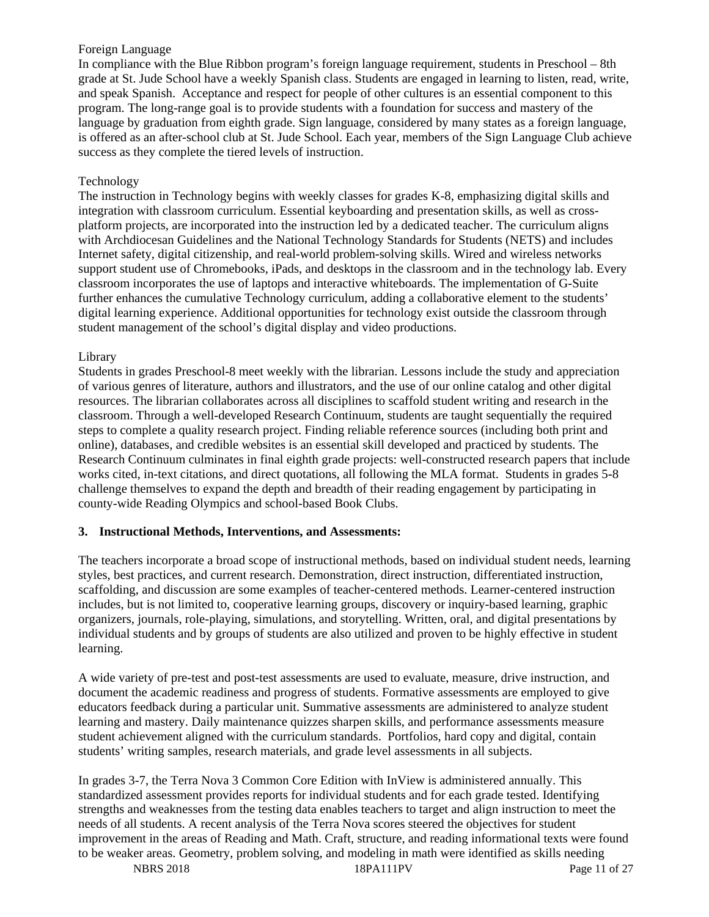#### Foreign Language

In compliance with the Blue Ribbon program's foreign language requirement, students in Preschool – 8th grade at St. Jude School have a weekly Spanish class. Students are engaged in learning to listen, read, write, and speak Spanish. Acceptance and respect for people of other cultures is an essential component to this program. The long-range goal is to provide students with a foundation for success and mastery of the language by graduation from eighth grade. Sign language, considered by many states as a foreign language, is offered as an after-school club at St. Jude School. Each year, members of the Sign Language Club achieve success as they complete the tiered levels of instruction.

#### Technology

The instruction in Technology begins with weekly classes for grades K-8, emphasizing digital skills and integration with classroom curriculum. Essential keyboarding and presentation skills, as well as crossplatform projects, are incorporated into the instruction led by a dedicated teacher. The curriculum aligns with Archdiocesan Guidelines and the National Technology Standards for Students (NETS) and includes Internet safety, digital citizenship, and real-world problem-solving skills. Wired and wireless networks support student use of Chromebooks, iPads, and desktops in the classroom and in the technology lab. Every classroom incorporates the use of laptops and interactive whiteboards. The implementation of G-Suite further enhances the cumulative Technology curriculum, adding a collaborative element to the students' digital learning experience. Additional opportunities for technology exist outside the classroom through student management of the school's digital display and video productions.

#### Library

Students in grades Preschool-8 meet weekly with the librarian. Lessons include the study and appreciation of various genres of literature, authors and illustrators, and the use of our online catalog and other digital resources. The librarian collaborates across all disciplines to scaffold student writing and research in the classroom. Through a well-developed Research Continuum, students are taught sequentially the required steps to complete a quality research project. Finding reliable reference sources (including both print and online), databases, and credible websites is an essential skill developed and practiced by students. The Research Continuum culminates in final eighth grade projects: well-constructed research papers that include works cited, in-text citations, and direct quotations, all following the MLA format. Students in grades 5-8 challenge themselves to expand the depth and breadth of their reading engagement by participating in county-wide Reading Olympics and school-based Book Clubs.

#### **3. Instructional Methods, Interventions, and Assessments:**

The teachers incorporate a broad scope of instructional methods, based on individual student needs, learning styles, best practices, and current research. Demonstration, direct instruction, differentiated instruction, scaffolding, and discussion are some examples of teacher-centered methods. Learner-centered instruction includes, but is not limited to, cooperative learning groups, discovery or inquiry-based learning, graphic organizers, journals, role-playing, simulations, and storytelling. Written, oral, and digital presentations by individual students and by groups of students are also utilized and proven to be highly effective in student learning.

A wide variety of pre-test and post-test assessments are used to evaluate, measure, drive instruction, and document the academic readiness and progress of students. Formative assessments are employed to give educators feedback during a particular unit. Summative assessments are administered to analyze student learning and mastery. Daily maintenance quizzes sharpen skills, and performance assessments measure student achievement aligned with the curriculum standards. Portfolios, hard copy and digital, contain students' writing samples, research materials, and grade level assessments in all subjects.

In grades 3-7, the Terra Nova 3 Common Core Edition with InView is administered annually. This standardized assessment provides reports for individual students and for each grade tested. Identifying strengths and weaknesses from the testing data enables teachers to target and align instruction to meet the needs of all students. A recent analysis of the Terra Nova scores steered the objectives for student improvement in the areas of Reading and Math. Craft, structure, and reading informational texts were found to be weaker areas. Geometry, problem solving, and modeling in math were identified as skills needing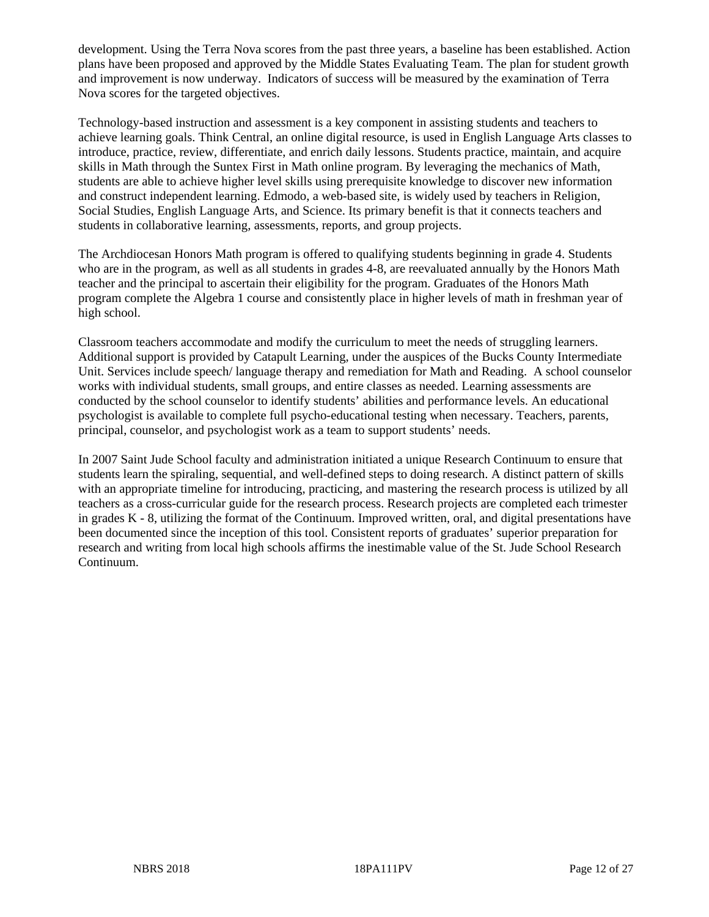development. Using the Terra Nova scores from the past three years, a baseline has been established. Action plans have been proposed and approved by the Middle States Evaluating Team. The plan for student growth and improvement is now underway. Indicators of success will be measured by the examination of Terra Nova scores for the targeted objectives.

Technology-based instruction and assessment is a key component in assisting students and teachers to achieve learning goals. Think Central, an online digital resource, is used in English Language Arts classes to introduce, practice, review, differentiate, and enrich daily lessons. Students practice, maintain, and acquire skills in Math through the Suntex First in Math online program. By leveraging the mechanics of Math, students are able to achieve higher level skills using prerequisite knowledge to discover new information and construct independent learning. Edmodo, a web-based site, is widely used by teachers in Religion, Social Studies, English Language Arts, and Science. Its primary benefit is that it connects teachers and students in collaborative learning, assessments, reports, and group projects.

The Archdiocesan Honors Math program is offered to qualifying students beginning in grade 4. Students who are in the program, as well as all students in grades 4-8, are reevaluated annually by the Honors Math teacher and the principal to ascertain their eligibility for the program. Graduates of the Honors Math program complete the Algebra 1 course and consistently place in higher levels of math in freshman year of high school.

Classroom teachers accommodate and modify the curriculum to meet the needs of struggling learners. Additional support is provided by Catapult Learning, under the auspices of the Bucks County Intermediate Unit. Services include speech/ language therapy and remediation for Math and Reading. A school counselor works with individual students, small groups, and entire classes as needed. Learning assessments are conducted by the school counselor to identify students' abilities and performance levels. An educational psychologist is available to complete full psycho-educational testing when necessary. Teachers, parents, principal, counselor, and psychologist work as a team to support students' needs.

In 2007 Saint Jude School faculty and administration initiated a unique Research Continuum to ensure that students learn the spiraling, sequential, and well-defined steps to doing research. A distinct pattern of skills with an appropriate timeline for introducing, practicing, and mastering the research process is utilized by all teachers as a cross-curricular guide for the research process. Research projects are completed each trimester in grades K - 8, utilizing the format of the Continuum. Improved written, oral, and digital presentations have been documented since the inception of this tool. Consistent reports of graduates' superior preparation for research and writing from local high schools affirms the inestimable value of the St. Jude School Research Continuum.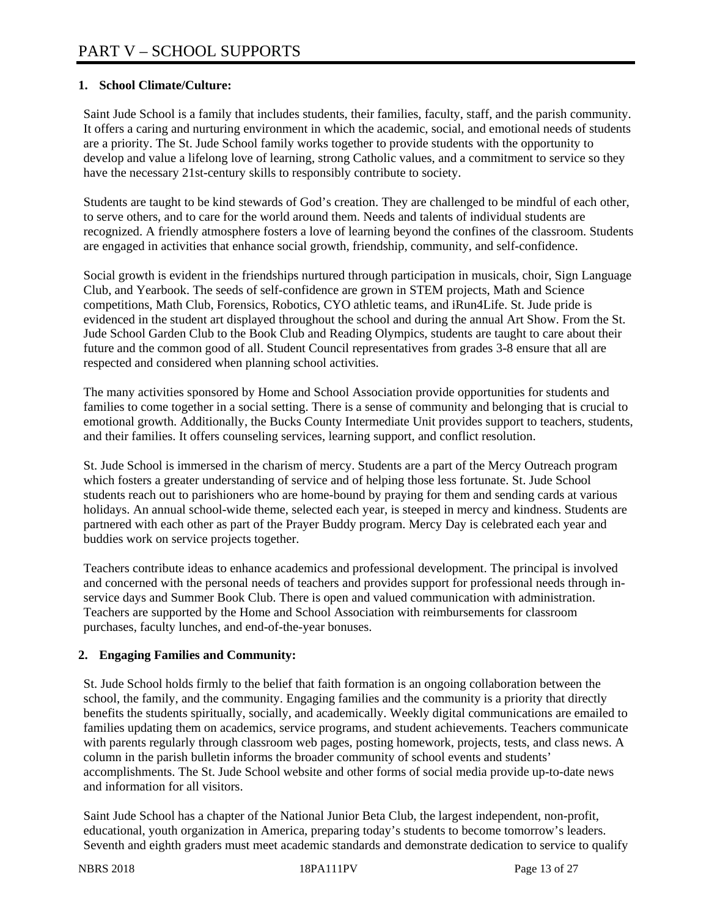#### **1. School Climate/Culture:**

Saint Jude School is a family that includes students, their families, faculty, staff, and the parish community. It offers a caring and nurturing environment in which the academic, social, and emotional needs of students are a priority. The St. Jude School family works together to provide students with the opportunity to develop and value a lifelong love of learning, strong Catholic values, and a commitment to service so they have the necessary 21st-century skills to responsibly contribute to society.

Students are taught to be kind stewards of God's creation. They are challenged to be mindful of each other, to serve others, and to care for the world around them. Needs and talents of individual students are recognized. A friendly atmosphere fosters a love of learning beyond the confines of the classroom. Students are engaged in activities that enhance social growth, friendship, community, and self-confidence.

Social growth is evident in the friendships nurtured through participation in musicals, choir, Sign Language Club, and Yearbook. The seeds of self-confidence are grown in STEM projects, Math and Science competitions, Math Club, Forensics, Robotics, CYO athletic teams, and iRun4Life. St. Jude pride is evidenced in the student art displayed throughout the school and during the annual Art Show. From the St. Jude School Garden Club to the Book Club and Reading Olympics, students are taught to care about their future and the common good of all. Student Council representatives from grades 3-8 ensure that all are respected and considered when planning school activities.

The many activities sponsored by Home and School Association provide opportunities for students and families to come together in a social setting. There is a sense of community and belonging that is crucial to emotional growth. Additionally, the Bucks County Intermediate Unit provides support to teachers, students, and their families. It offers counseling services, learning support, and conflict resolution.

St. Jude School is immersed in the charism of mercy. Students are a part of the Mercy Outreach program which fosters a greater understanding of service and of helping those less fortunate. St. Jude School students reach out to parishioners who are home-bound by praying for them and sending cards at various holidays. An annual school-wide theme, selected each year, is steeped in mercy and kindness. Students are partnered with each other as part of the Prayer Buddy program. Mercy Day is celebrated each year and buddies work on service projects together.

Teachers contribute ideas to enhance academics and professional development. The principal is involved and concerned with the personal needs of teachers and provides support for professional needs through inservice days and Summer Book Club. There is open and valued communication with administration. Teachers are supported by the Home and School Association with reimbursements for classroom purchases, faculty lunches, and end-of-the-year bonuses.

#### **2. Engaging Families and Community:**

St. Jude School holds firmly to the belief that faith formation is an ongoing collaboration between the school, the family, and the community. Engaging families and the community is a priority that directly benefits the students spiritually, socially, and academically. Weekly digital communications are emailed to families updating them on academics, service programs, and student achievements. Teachers communicate with parents regularly through classroom web pages, posting homework, projects, tests, and class news. A column in the parish bulletin informs the broader community of school events and students' accomplishments. The St. Jude School website and other forms of social media provide up-to-date news and information for all visitors.

Saint Jude School has a chapter of the National Junior Beta Club, the largest independent, non-profit, educational, youth organization in America, preparing today's students to become tomorrow's leaders. Seventh and eighth graders must meet academic standards and demonstrate dedication to service to qualify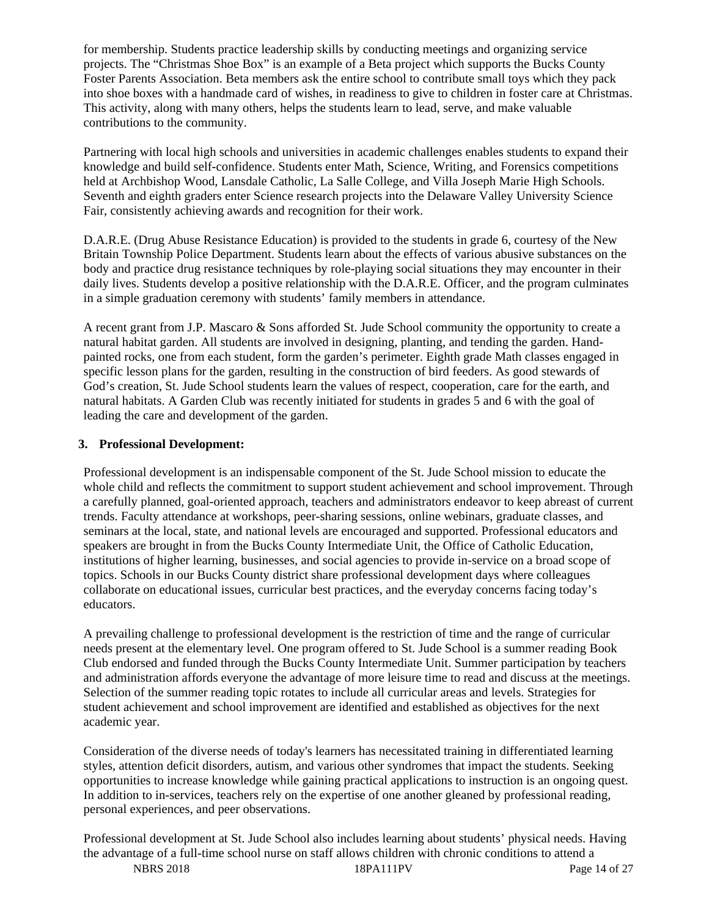for membership. Students practice leadership skills by conducting meetings and organizing service projects. The "Christmas Shoe Box" is an example of a Beta project which supports the Bucks County Foster Parents Association. Beta members ask the entire school to contribute small toys which they pack into shoe boxes with a handmade card of wishes, in readiness to give to children in foster care at Christmas. This activity, along with many others, helps the students learn to lead, serve, and make valuable contributions to the community.

Partnering with local high schools and universities in academic challenges enables students to expand their knowledge and build self-confidence. Students enter Math, Science, Writing, and Forensics competitions held at Archbishop Wood, Lansdale Catholic, La Salle College, and Villa Joseph Marie High Schools. Seventh and eighth graders enter Science research projects into the Delaware Valley University Science Fair, consistently achieving awards and recognition for their work.

D.A.R.E. (Drug Abuse Resistance Education) is provided to the students in grade 6, courtesy of the New Britain Township Police Department. Students learn about the effects of various abusive substances on the body and practice drug resistance techniques by role-playing social situations they may encounter in their daily lives. Students develop a positive relationship with the D.A.R.E. Officer, and the program culminates in a simple graduation ceremony with students' family members in attendance.

A recent grant from J.P. Mascaro & Sons afforded St. Jude School community the opportunity to create a natural habitat garden. All students are involved in designing, planting, and tending the garden. Handpainted rocks, one from each student, form the garden's perimeter. Eighth grade Math classes engaged in specific lesson plans for the garden, resulting in the construction of bird feeders. As good stewards of God's creation, St. Jude School students learn the values of respect, cooperation, care for the earth, and natural habitats. A Garden Club was recently initiated for students in grades 5 and 6 with the goal of leading the care and development of the garden.

#### **3. Professional Development:**

Professional development is an indispensable component of the St. Jude School mission to educate the whole child and reflects the commitment to support student achievement and school improvement. Through a carefully planned, goal-oriented approach, teachers and administrators endeavor to keep abreast of current trends. Faculty attendance at workshops, peer-sharing sessions, online webinars, graduate classes, and seminars at the local, state, and national levels are encouraged and supported. Professional educators and speakers are brought in from the Bucks County Intermediate Unit, the Office of Catholic Education, institutions of higher learning, businesses, and social agencies to provide in-service on a broad scope of topics. Schools in our Bucks County district share professional development days where colleagues collaborate on educational issues, curricular best practices, and the everyday concerns facing today's educators.

A prevailing challenge to professional development is the restriction of time and the range of curricular needs present at the elementary level. One program offered to St. Jude School is a summer reading Book Club endorsed and funded through the Bucks County Intermediate Unit. Summer participation by teachers and administration affords everyone the advantage of more leisure time to read and discuss at the meetings. Selection of the summer reading topic rotates to include all curricular areas and levels. Strategies for student achievement and school improvement are identified and established as objectives for the next academic year.

Consideration of the diverse needs of today's learners has necessitated training in differentiated learning styles, attention deficit disorders, autism, and various other syndromes that impact the students. Seeking opportunities to increase knowledge while gaining practical applications to instruction is an ongoing quest. In addition to in-services, teachers rely on the expertise of one another gleaned by professional reading, personal experiences, and peer observations.

NBRS 2018 18PA111PV Page 14 of 27 Professional development at St. Jude School also includes learning about students' physical needs. Having the advantage of a full-time school nurse on staff allows children with chronic conditions to attend a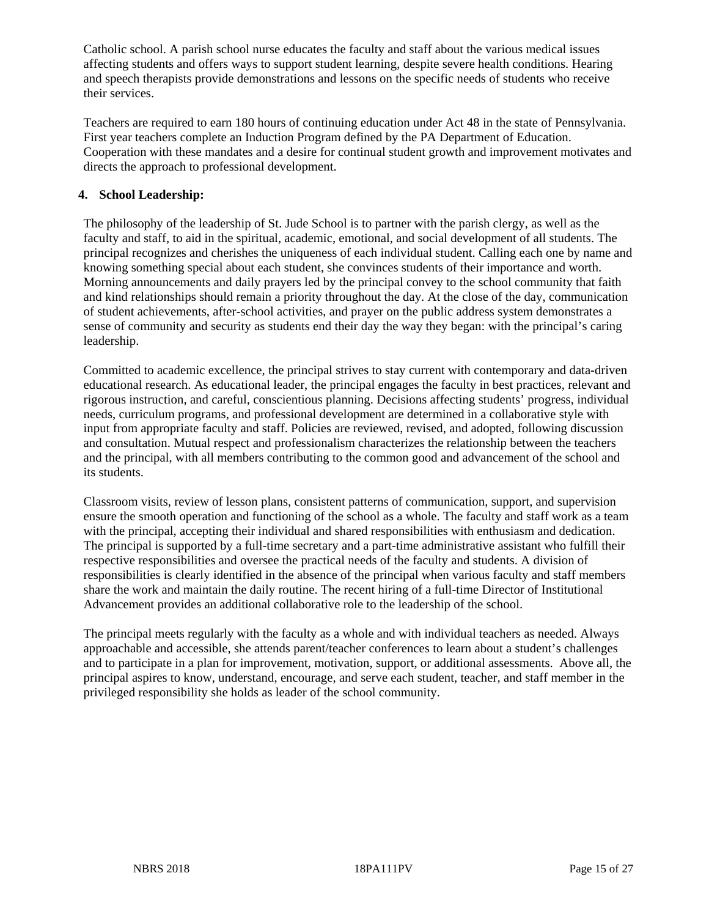Catholic school. A parish school nurse educates the faculty and staff about the various medical issues affecting students and offers ways to support student learning, despite severe health conditions. Hearing and speech therapists provide demonstrations and lessons on the specific needs of students who receive their services.

Teachers are required to earn 180 hours of continuing education under Act 48 in the state of Pennsylvania. First year teachers complete an Induction Program defined by the PA Department of Education. Cooperation with these mandates and a desire for continual student growth and improvement motivates and directs the approach to professional development.

#### **4. School Leadership:**

The philosophy of the leadership of St. Jude School is to partner with the parish clergy, as well as the faculty and staff, to aid in the spiritual, academic, emotional, and social development of all students. The principal recognizes and cherishes the uniqueness of each individual student. Calling each one by name and knowing something special about each student, she convinces students of their importance and worth. Morning announcements and daily prayers led by the principal convey to the school community that faith and kind relationships should remain a priority throughout the day. At the close of the day, communication of student achievements, after-school activities, and prayer on the public address system demonstrates a sense of community and security as students end their day the way they began: with the principal's caring leadership.

Committed to academic excellence, the principal strives to stay current with contemporary and data-driven educational research. As educational leader, the principal engages the faculty in best practices, relevant and rigorous instruction, and careful, conscientious planning. Decisions affecting students' progress, individual needs, curriculum programs, and professional development are determined in a collaborative style with input from appropriate faculty and staff. Policies are reviewed, revised, and adopted, following discussion and consultation. Mutual respect and professionalism characterizes the relationship between the teachers and the principal, with all members contributing to the common good and advancement of the school and its students.

Classroom visits, review of lesson plans, consistent patterns of communication, support, and supervision ensure the smooth operation and functioning of the school as a whole. The faculty and staff work as a team with the principal, accepting their individual and shared responsibilities with enthusiasm and dedication. The principal is supported by a full-time secretary and a part-time administrative assistant who fulfill their respective responsibilities and oversee the practical needs of the faculty and students. A division of responsibilities is clearly identified in the absence of the principal when various faculty and staff members share the work and maintain the daily routine. The recent hiring of a full-time Director of Institutional Advancement provides an additional collaborative role to the leadership of the school.

The principal meets regularly with the faculty as a whole and with individual teachers as needed. Always approachable and accessible, she attends parent/teacher conferences to learn about a student's challenges and to participate in a plan for improvement, motivation, support, or additional assessments. Above all, the principal aspires to know, understand, encourage, and serve each student, teacher, and staff member in the privileged responsibility she holds as leader of the school community.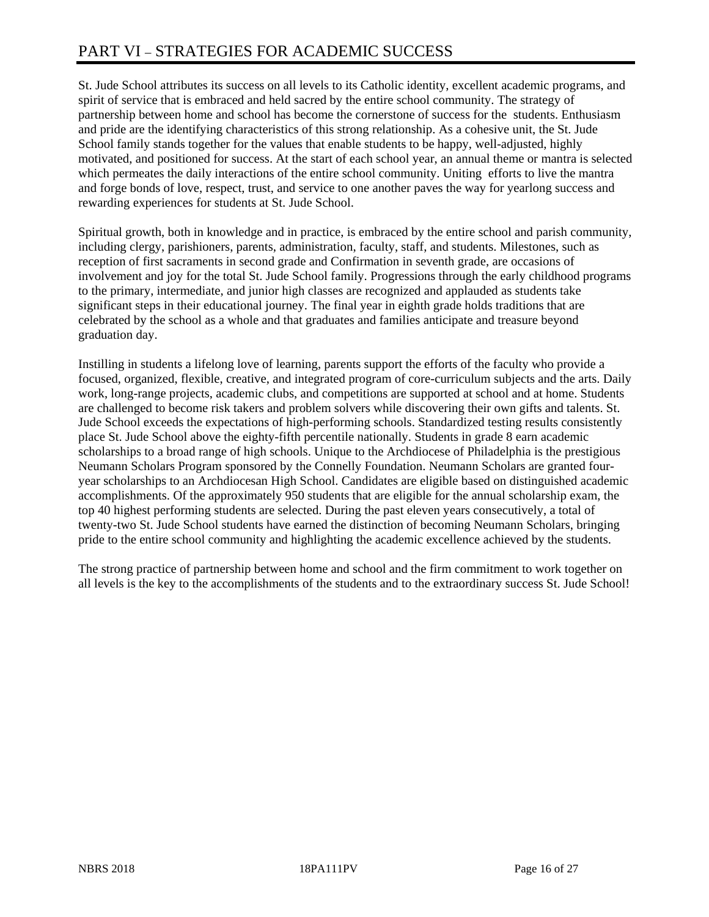St. Jude School attributes its success on all levels to its Catholic identity, excellent academic programs, and spirit of service that is embraced and held sacred by the entire school community. The strategy of partnership between home and school has become the cornerstone of success for the students. Enthusiasm and pride are the identifying characteristics of this strong relationship. As a cohesive unit, the St. Jude School family stands together for the values that enable students to be happy, well-adjusted, highly motivated, and positioned for success. At the start of each school year, an annual theme or mantra is selected which permeates the daily interactions of the entire school community. Uniting efforts to live the mantra and forge bonds of love, respect, trust, and service to one another paves the way for yearlong success and rewarding experiences for students at St. Jude School.

Spiritual growth, both in knowledge and in practice, is embraced by the entire school and parish community, including clergy, parishioners, parents, administration, faculty, staff, and students. Milestones, such as reception of first sacraments in second grade and Confirmation in seventh grade, are occasions of involvement and joy for the total St. Jude School family. Progressions through the early childhood programs to the primary, intermediate, and junior high classes are recognized and applauded as students take significant steps in their educational journey. The final year in eighth grade holds traditions that are celebrated by the school as a whole and that graduates and families anticipate and treasure beyond graduation day.

Instilling in students a lifelong love of learning, parents support the efforts of the faculty who provide a focused, organized, flexible, creative, and integrated program of core-curriculum subjects and the arts. Daily work, long-range projects, academic clubs, and competitions are supported at school and at home. Students are challenged to become risk takers and problem solvers while discovering their own gifts and talents. St. Jude School exceeds the expectations of high-performing schools. Standardized testing results consistently place St. Jude School above the eighty-fifth percentile nationally. Students in grade 8 earn academic scholarships to a broad range of high schools. Unique to the Archdiocese of Philadelphia is the prestigious Neumann Scholars Program sponsored by the Connelly Foundation. Neumann Scholars are granted fouryear scholarships to an Archdiocesan High School. Candidates are eligible based on distinguished academic accomplishments. Of the approximately 950 students that are eligible for the annual scholarship exam, the top 40 highest performing students are selected. During the past eleven years consecutively, a total of twenty-two St. Jude School students have earned the distinction of becoming Neumann Scholars, bringing pride to the entire school community and highlighting the academic excellence achieved by the students.

The strong practice of partnership between home and school and the firm commitment to work together on all levels is the key to the accomplishments of the students and to the extraordinary success St. Jude School!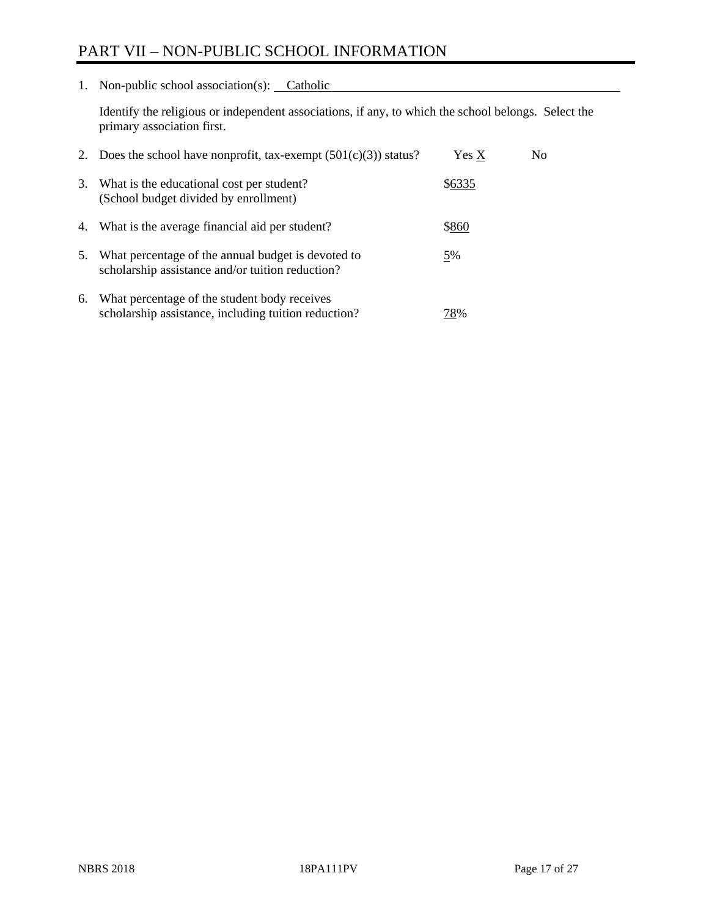# PART VII – NON-PUBLIC SCHOOL INFORMATION

1. Non-public school association(s): Catholic

Identify the religious or independent associations, if any, to which the school belongs. Select the primary association first.

| 2. | Does the school have nonprofit, tax-exempt $(501(c)(3))$ status?                                       | Yes X  | No. |
|----|--------------------------------------------------------------------------------------------------------|--------|-----|
| 3. | What is the educational cost per student?<br>(School budget divided by enrollment)                     | \$6335 |     |
|    | 4. What is the average financial aid per student?                                                      | \$860  |     |
| 5. | What percentage of the annual budget is devoted to<br>scholarship assistance and/or tuition reduction? | 5%     |     |
| 6. | What percentage of the student body receives<br>scholarship assistance, including tuition reduction?   | 78%    |     |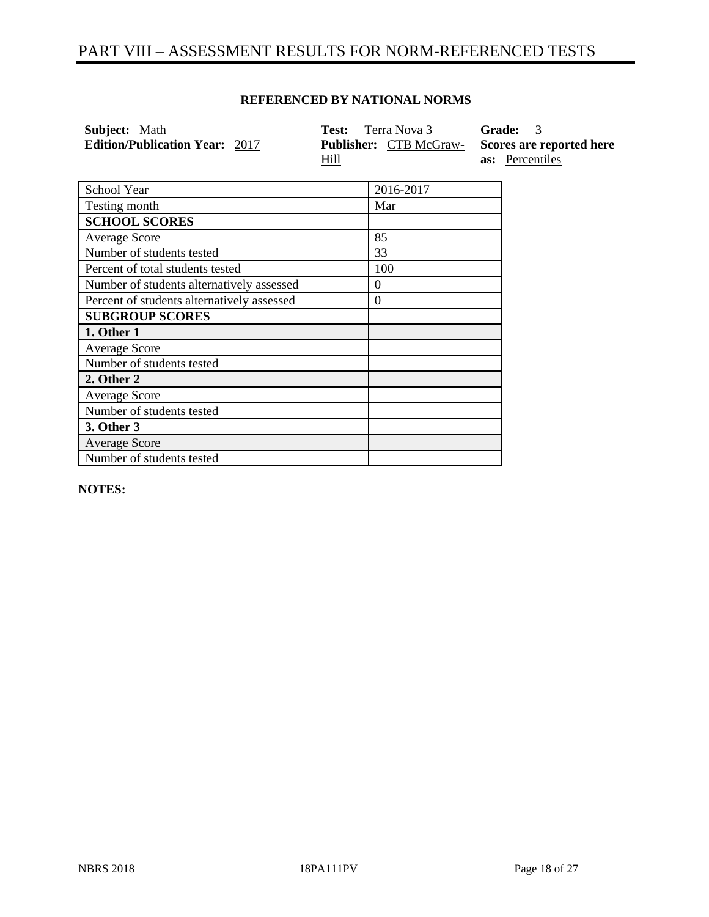# PART VIII – ASSESSMENT RESULTS FOR NORM-REFERENCED TESTS

#### **REFERENCED BY NATIONAL NORMS**

| <b>Subject:</b> Math                  | <b>Test:</b> Terra Nova 3                             | Grade: 3               |
|---------------------------------------|-------------------------------------------------------|------------------------|
| <b>Edition/Publication Year: 2017</b> | <b>Publisher:</b> CTB McGraw-Scores are reported here |                        |
|                                       | <u>Hill</u>                                           | <b>as:</b> Percentiles |

| School Year                                | 2016-2017 |
|--------------------------------------------|-----------|
| Testing month                              | Mar       |
| <b>SCHOOL SCORES</b>                       |           |
| <b>Average Score</b>                       | 85        |
| Number of students tested                  | 33        |
| Percent of total students tested           | 100       |
| Number of students alternatively assessed  | $\Omega$  |
| Percent of students alternatively assessed | $\theta$  |
| <b>SUBGROUP SCORES</b>                     |           |
| 1. Other 1                                 |           |
| <b>Average Score</b>                       |           |
| Number of students tested                  |           |
| 2. Other 2                                 |           |
| <b>Average Score</b>                       |           |
| Number of students tested                  |           |
| 3. Other 3                                 |           |
| <b>Average Score</b>                       |           |
| Number of students tested                  |           |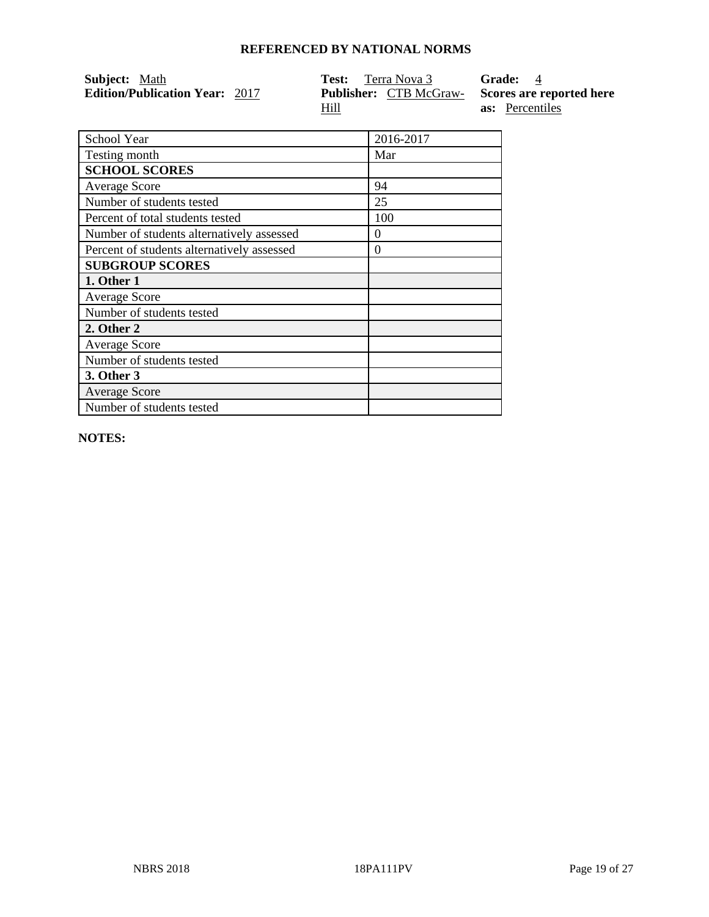| Subject: Math                         | <b>Test:</b> Terra Nova 3                             | Grade: 4               |
|---------------------------------------|-------------------------------------------------------|------------------------|
| <b>Edition/Publication Year: 2017</b> | <b>Publisher:</b> CTB McGraw-Scores are reported here |                        |
|                                       | Hill                                                  | <b>as:</b> Percentiles |

| School Year                                | 2016-2017 |
|--------------------------------------------|-----------|
| Testing month                              | Mar       |
| <b>SCHOOL SCORES</b>                       |           |
| <b>Average Score</b>                       | 94        |
| Number of students tested                  | 25        |
| Percent of total students tested           | 100       |
| Number of students alternatively assessed  | $\theta$  |
| Percent of students alternatively assessed | $\theta$  |
| <b>SUBGROUP SCORES</b>                     |           |
| 1. Other 1                                 |           |
| <b>Average Score</b>                       |           |
| Number of students tested                  |           |
| 2. Other 2                                 |           |
| <b>Average Score</b>                       |           |
| Number of students tested                  |           |
| 3. Other 3                                 |           |
| <b>Average Score</b>                       |           |
| Number of students tested                  |           |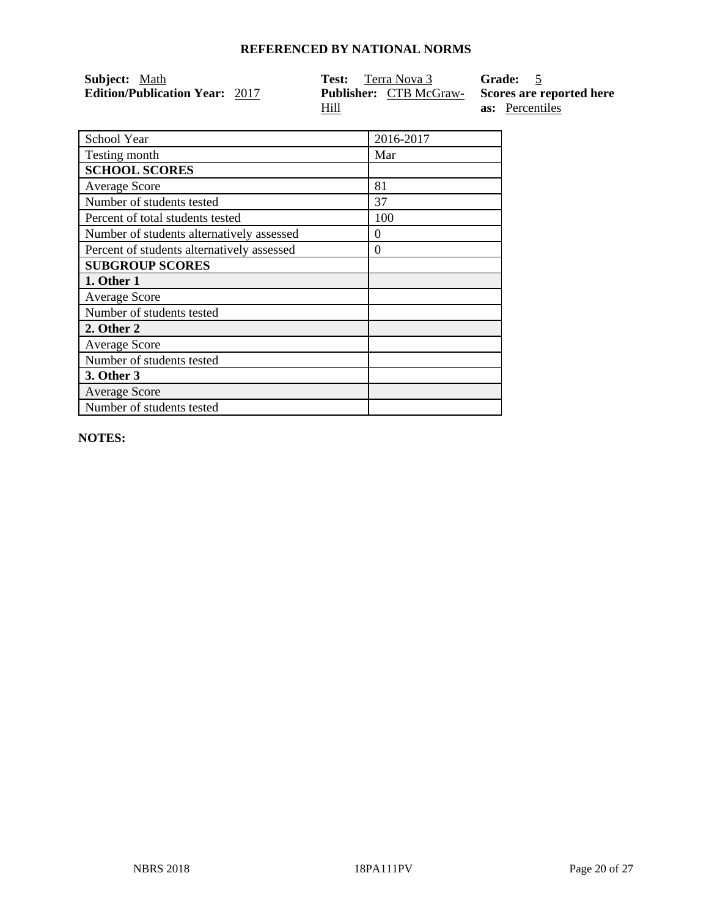| <b>Subject:</b> Math                  | <b>Test:</b> Terra Nova 3                             | Grade: 5               |
|---------------------------------------|-------------------------------------------------------|------------------------|
| <b>Edition/Publication Year: 2017</b> | <b>Publisher:</b> CTB McGraw-Scores are reported here |                        |
|                                       | Hill                                                  | <b>as:</b> Percentiles |

| School Year                                | 2016-2017 |
|--------------------------------------------|-----------|
| Testing month                              | Mar       |
| <b>SCHOOL SCORES</b>                       |           |
| <b>Average Score</b>                       | 81        |
| Number of students tested                  | 37        |
| Percent of total students tested           | 100       |
| Number of students alternatively assessed  | $\theta$  |
| Percent of students alternatively assessed | $\theta$  |
| <b>SUBGROUP SCORES</b>                     |           |
| 1. Other 1                                 |           |
| <b>Average Score</b>                       |           |
| Number of students tested                  |           |
| 2. Other 2                                 |           |
| <b>Average Score</b>                       |           |
| Number of students tested                  |           |
| 3. Other 3                                 |           |
| <b>Average Score</b>                       |           |
| Number of students tested                  |           |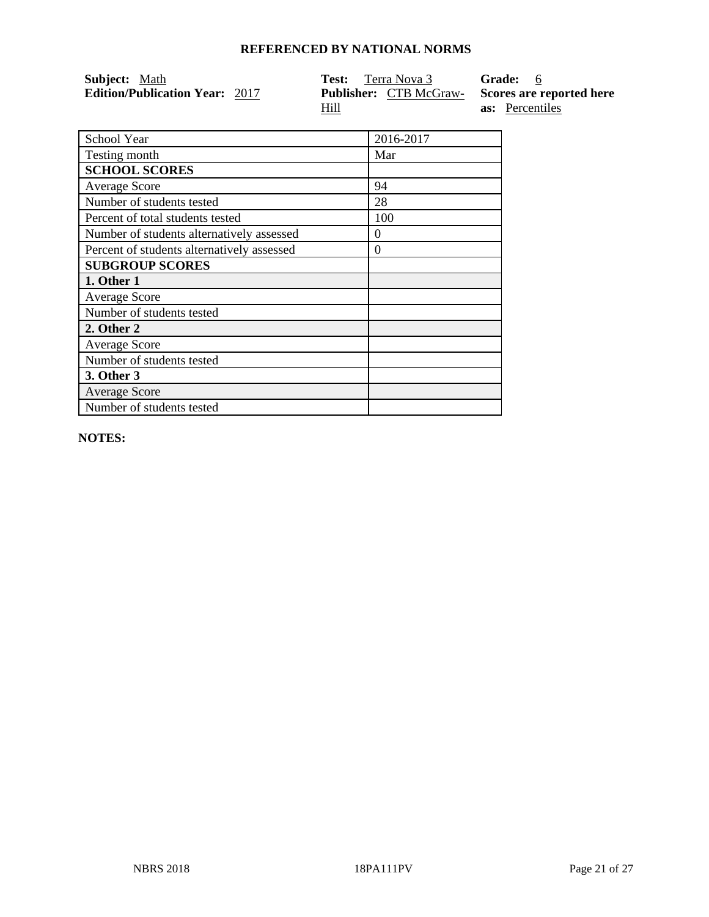| Subject: Math                         | <b>Test:</b> Terra Nova 3                             | Grade: 6               |
|---------------------------------------|-------------------------------------------------------|------------------------|
| <b>Edition/Publication Year: 2017</b> | <b>Publisher:</b> CTB McGraw-Scores are reported here |                        |
|                                       | Hill                                                  | <b>as:</b> Percentiles |

| School Year                                | 2016-2017 |
|--------------------------------------------|-----------|
| Testing month                              | Mar       |
| <b>SCHOOL SCORES</b>                       |           |
| <b>Average Score</b>                       | 94        |
| Number of students tested                  | 28        |
| Percent of total students tested           | 100       |
| Number of students alternatively assessed  | $\theta$  |
| Percent of students alternatively assessed | $\Omega$  |
| <b>SUBGROUP SCORES</b>                     |           |
| 1. Other 1                                 |           |
| <b>Average Score</b>                       |           |
| Number of students tested                  |           |
| 2. Other 2                                 |           |
| <b>Average Score</b>                       |           |
| Number of students tested                  |           |
| <b>3. Other 3</b>                          |           |
| <b>Average Score</b>                       |           |
| Number of students tested                  |           |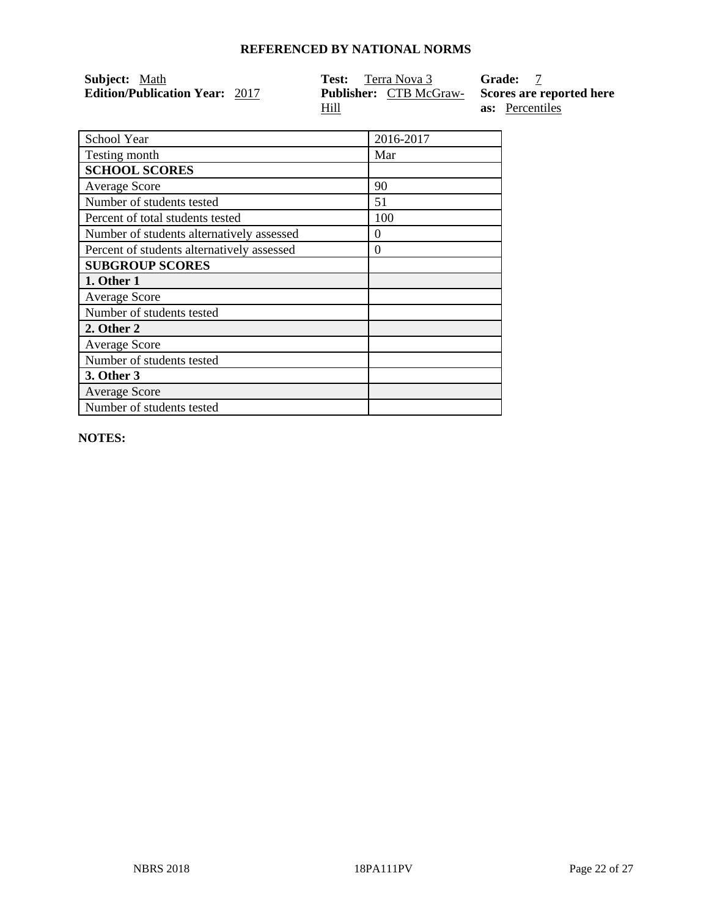| Subject: Math                         | <b>Test:</b> Terra Nova 3                             | Grade: 7               |
|---------------------------------------|-------------------------------------------------------|------------------------|
| <b>Edition/Publication Year: 2017</b> | <b>Publisher:</b> CTB McGraw-Scores are reported here |                        |
|                                       | Hill                                                  | <b>as:</b> Percentiles |

| School Year                                | 2016-2017 |
|--------------------------------------------|-----------|
| Testing month                              | Mar       |
| <b>SCHOOL SCORES</b>                       |           |
| <b>Average Score</b>                       | 90        |
| Number of students tested                  | 51        |
| Percent of total students tested           | 100       |
| Number of students alternatively assessed  | $\theta$  |
| Percent of students alternatively assessed | $\theta$  |
| <b>SUBGROUP SCORES</b>                     |           |
| 1. Other 1                                 |           |
| <b>Average Score</b>                       |           |
| Number of students tested                  |           |
| 2. Other 2                                 |           |
| <b>Average Score</b>                       |           |
| Number of students tested                  |           |
| 3. Other 3                                 |           |
| <b>Average Score</b>                       |           |
| Number of students tested                  |           |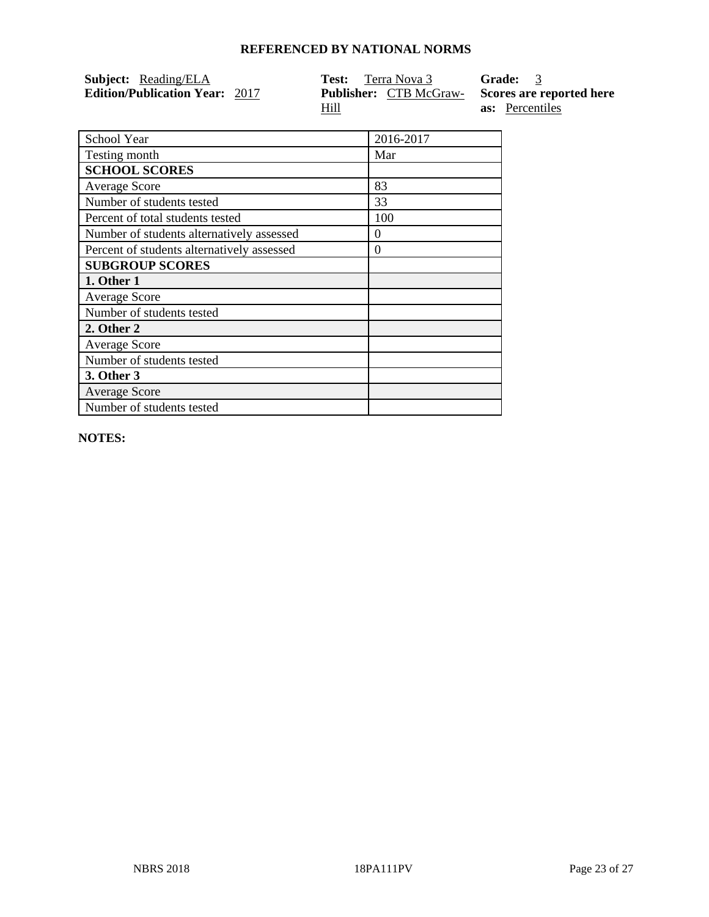| <b>Subject:</b> Reading/ELA           | <b>Test:</b> Terra Nova 3                             | <b>Grade:</b> 3        |
|---------------------------------------|-------------------------------------------------------|------------------------|
| <b>Edition/Publication Year: 2017</b> | <b>Publisher:</b> CTB McGraw-Scores are reported here |                        |
|                                       | Hill                                                  | <b>as:</b> Percentiles |

| School Year                                | 2016-2017 |
|--------------------------------------------|-----------|
| Testing month                              | Mar       |
| <b>SCHOOL SCORES</b>                       |           |
| <b>Average Score</b>                       | 83        |
| Number of students tested                  | 33        |
| Percent of total students tested           | 100       |
| Number of students alternatively assessed  | $\theta$  |
| Percent of students alternatively assessed | $\theta$  |
| <b>SUBGROUP SCORES</b>                     |           |
| 1. Other 1                                 |           |
| <b>Average Score</b>                       |           |
| Number of students tested                  |           |
| 2. Other 2                                 |           |
| <b>Average Score</b>                       |           |
| Number of students tested                  |           |
| 3. Other 3                                 |           |
| <b>Average Score</b>                       |           |
| Number of students tested                  |           |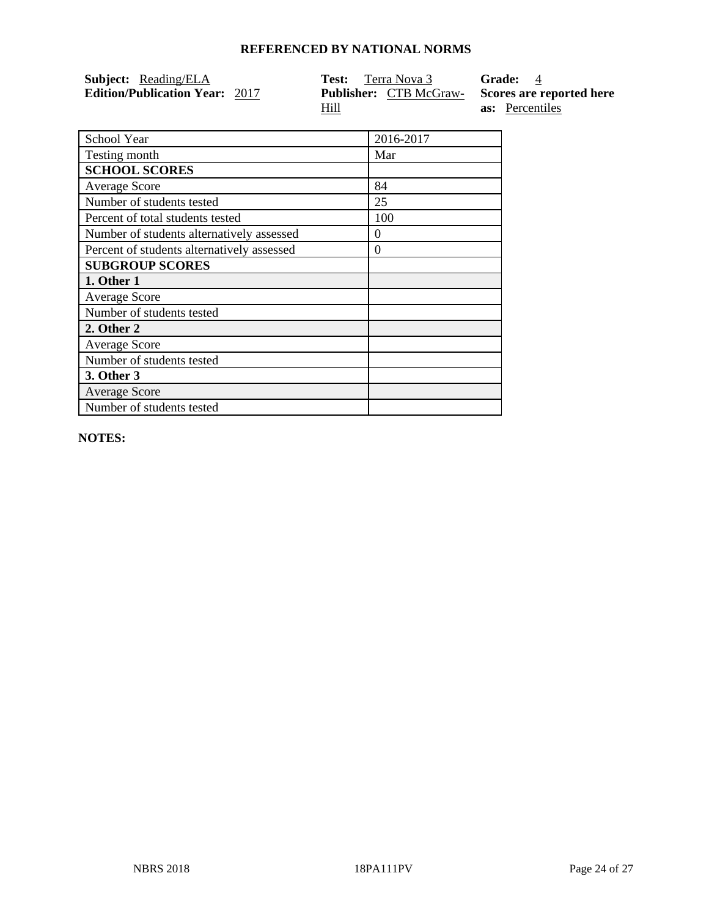| <b>Subject:</b> Reading/ELA           | <b>Test:</b> Terra Nova 3                             | <b>Grade:</b> 4        |
|---------------------------------------|-------------------------------------------------------|------------------------|
| <b>Edition/Publication Year: 2017</b> | <b>Publisher:</b> CTB McGraw-Scores are reported here |                        |
|                                       | Hill                                                  | <b>as:</b> Percentiles |

| School Year                                | 2016-2017 |
|--------------------------------------------|-----------|
| Testing month                              | Mar       |
| <b>SCHOOL SCORES</b>                       |           |
| <b>Average Score</b>                       | 84        |
| Number of students tested                  | 25        |
| Percent of total students tested           | 100       |
| Number of students alternatively assessed  | $\theta$  |
| Percent of students alternatively assessed | $\theta$  |
| <b>SUBGROUP SCORES</b>                     |           |
| 1. Other 1                                 |           |
| <b>Average Score</b>                       |           |
| Number of students tested                  |           |
| 2. Other 2                                 |           |
| <b>Average Score</b>                       |           |
| Number of students tested                  |           |
| 3. Other 3                                 |           |
| <b>Average Score</b>                       |           |
| Number of students tested                  |           |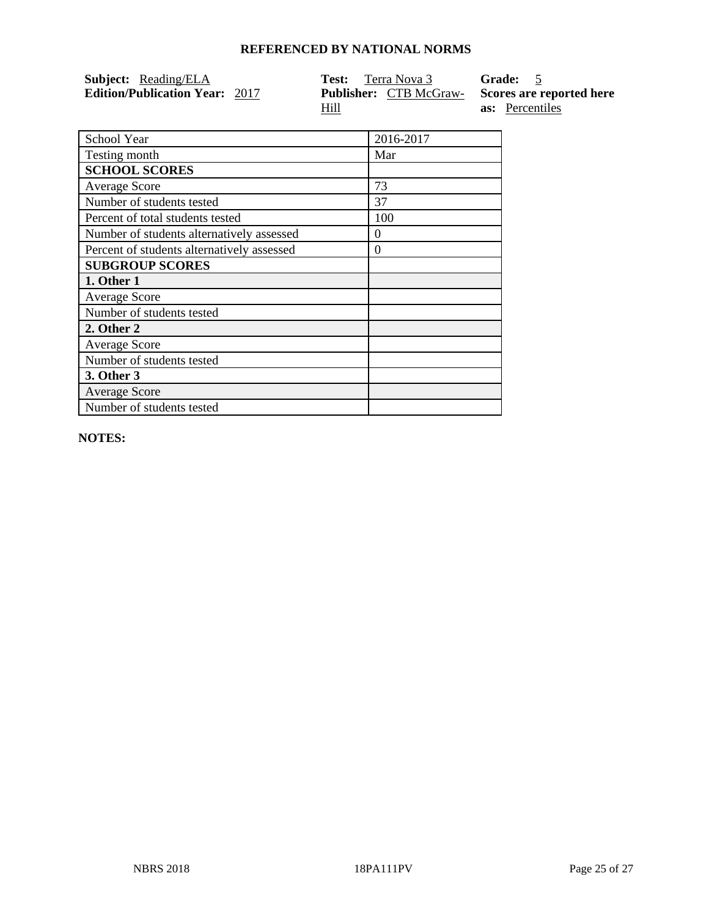| <b>Subject:</b> Reading/ELA           | <b>Test:</b> Terra Nova 3                             | Grade: 5               |
|---------------------------------------|-------------------------------------------------------|------------------------|
| <b>Edition/Publication Year: 2017</b> | <b>Publisher:</b> CTB McGraw-Scores are reported here |                        |
|                                       | Hill                                                  | <b>as:</b> Percentiles |

| School Year                                | 2016-2017 |
|--------------------------------------------|-----------|
| Testing month                              | Mar       |
| <b>SCHOOL SCORES</b>                       |           |
| <b>Average Score</b>                       | 73        |
| Number of students tested                  | 37        |
| Percent of total students tested           | 100       |
| Number of students alternatively assessed  | $\theta$  |
| Percent of students alternatively assessed | $\theta$  |
| <b>SUBGROUP SCORES</b>                     |           |
| 1. Other 1                                 |           |
| <b>Average Score</b>                       |           |
| Number of students tested                  |           |
| 2. Other 2                                 |           |
| <b>Average Score</b>                       |           |
| Number of students tested                  |           |
| 3. Other 3                                 |           |
| <b>Average Score</b>                       |           |
| Number of students tested                  |           |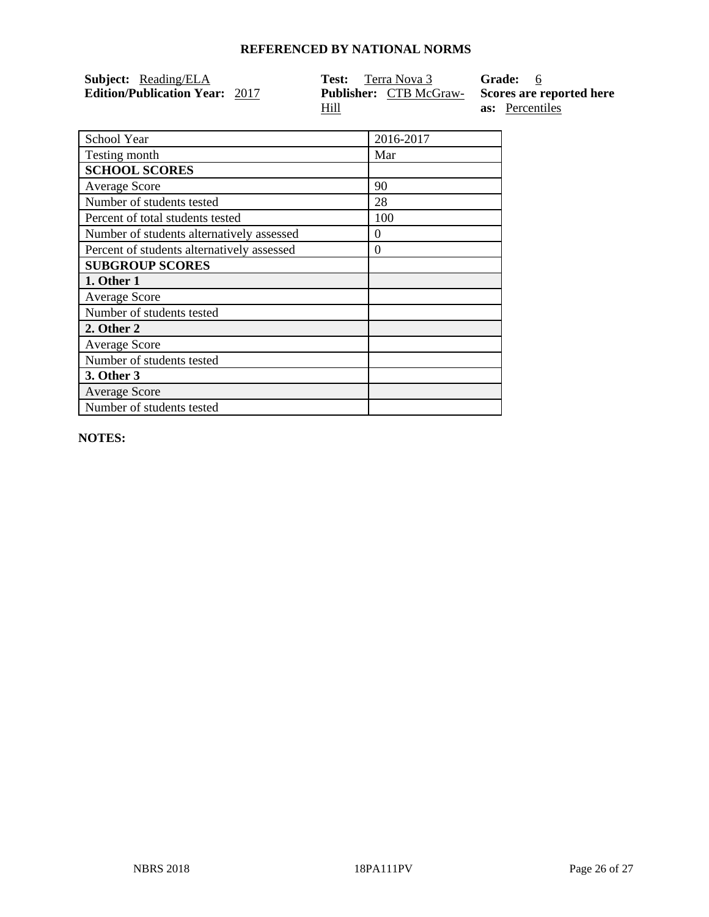| <b>Subject:</b> Reading/ELA           | <b>Test:</b> Terra Nova 3                             | <b>Grade:</b> 6        |
|---------------------------------------|-------------------------------------------------------|------------------------|
| <b>Edition/Publication Year: 2017</b> | <b>Publisher:</b> CTB McGraw-Scores are reported here |                        |
|                                       | Hill                                                  | <b>as:</b> Percentiles |

| School Year                                | 2016-2017 |
|--------------------------------------------|-----------|
| Testing month                              | Mar       |
| <b>SCHOOL SCORES</b>                       |           |
| <b>Average Score</b>                       | 90        |
| Number of students tested                  | 28        |
| Percent of total students tested           | 100       |
| Number of students alternatively assessed  | $\theta$  |
| Percent of students alternatively assessed | $\theta$  |
| <b>SUBGROUP SCORES</b>                     |           |
| 1. Other 1                                 |           |
| <b>Average Score</b>                       |           |
| Number of students tested                  |           |
| 2. Other 2                                 |           |
| <b>Average Score</b>                       |           |
| Number of students tested                  |           |
| 3. Other 3                                 |           |
| <b>Average Score</b>                       |           |
| Number of students tested                  |           |